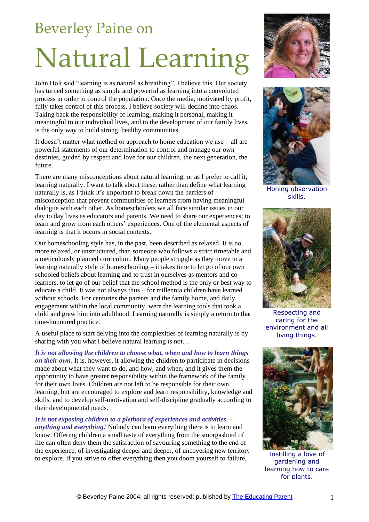## Beverley Paine on

## Natural Learning

John Holt said "learning is as natural as breathing". I believe this. Our society has turned something as simple and powerful as learning into a convoluted process in order to control the population. Once the media, motivated by profit, fully takes control of this process, I believe society will decline into chaos. Taking back the responsibility of learning, making it personal, making it meaningful to our individual lives, and to the development of our family lives, is the only way to build strong, healthy communities.

It doesn't matter what method or approach to home education we use – all are powerful statements of our determination to control and manage our own destinies, guided by respect and love for our children, the next generation, the future.

There are many misconceptions about natural learning, or as I prefer to call it, learning naturally. I want to talk about these, rather than define what learning naturally is, as I think it's important to break down the barriers of misconception that prevent communities of learners from having meaningful dialogue with each other. As homeschoolers we all face similar issues in our day to day lives as educators and parents. We need to share our experiences; to learn and grow from each others' experiences. One of the elemental aspects of learning is that it occurs in social contexts.

Our homeschooling style has, in the past, been described as relaxed. It is no more relaxed, or unstructured, than someone who follows a strict timetable and a meticulously planned curriculum. Many people struggle as they move to a learning naturally style of homeschooling – it takes time to let go of our own schooled beliefs about learning and to trust in ourselves as mentors and colearners, to let go of our belief that the school method is the only or best way to educate a child. It was not always thus – for millennia children have learned without schools. For centuries the parents and the family home, and daily engagement within the local community, were the learning tools that took a child and grew him into adulthood. Learning naturally is simply a return to that time-honoured practice.

A useful place to start delving into the complexities of learning naturally is by sharing with you what I believe natural learning is not...

*It is not allowing the children to choose what, when and how to learn things on their own.* It is, however, it allowing the children to participate in decisions made about what they want to do, and how, and when, and it gives them the opportunity to have greater responsibility within the framework of the family for their own lives. Children are not left to be responsible for their own learning, but are encouraged to explore and learn responsibility, knowledge and skills, and to develop self-motivation and self-discipline gradually according to their developmental needs.

*It is not exposing children to a plethora of experiences and activities – anything and everything!* Nobody can learn everything there is to learn and know. Offering children a small taste of everything from the smorgasbord of life can often deny them the satisfaction of savouring something to the end of the experience, of investigating deeper and deeper, of uncovering new territory to explore. If you strive to offer everything then you doom yourself to failure,





Honing observation skills.



Respecting and caring for the environment and all living things.



Instilling a love of gardening and learning how to care for plants.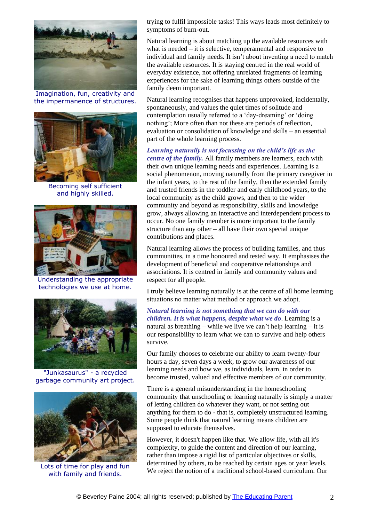

Imagination, fun, creativity and the impermanence of structures.



Becoming self sufficient and highly skilled.



Understanding the appropriate technologies we use at home.



"Junkasaurus" - a recycled garbage community art project.



Lots of time for play and fun with family and friends.

trying to fulfil impossible tasks! This ways leads most definitely to symptoms of burn-out.

Natural learning is about matching up the available resources with what is needed – it is selective, temperamental and responsive to individual and family needs. It isn't about inventing a need to match the available resources. It is staying centred in the real world of everyday existence, not offering unrelated fragments of learning experiences for the sake of learning things others outside of the family deem important.

Natural learning recognises that happens unprovoked, incidentally, spontaneously, and values the quiet times of solitude and contemplation usually referred to a 'day-dreaming' or 'doing nothing'; More often than not these are periods of reflection, evaluation or consolidation of knowledge and skills – an essential part of the whole learning process.

## *Learning naturally is not focussing on the child's life as the*

*centre of the family.* All family members are learners, each with their own unique learning needs and experiences. Learning is a social phenomenon, moving naturally from the primary caregiver in the infant years, to the rest of the family, then the extended family and trusted friends in the toddler and early childhood years, to the local community as the child grows, and then to the wider community and beyond as responsibility, skills and knowledge grow, always allowing an interactive and interdependent process to occur. No one family member is more important to the family structure than any other – all have their own special unique contributions and places.

Natural learning allows the process of building families, and thus communities, in a time honoured and tested way. It emphasises the development of beneficial and cooperative relationships and associations. It is centred in family and community values and respect for all people.

I truly believe learning naturally is at the centre of all home learning situations no matter what method or approach we adopt.

*Natural learning is not something that we can do with our children. It is what happens, despite what we do*. Learning is a natural as breathing – while we live we can't help learning – it is our responsibility to learn what we can to survive and help others survive.

Our family chooses to celebrate our ability to learn twenty-four hours a day, seven days a week, to grow our awareness of our learning needs and how we, as individuals, learn, in order to become trusted, valued and effective members of our community.

There is a general misunderstanding in the homeschooling community that unschooling or learning naturally is simply a matter of letting children do whatever they want, or not setting out anything for them to do - that is, completely unstructured learning. Some people think that natural learning means children are supposed to educate themselves.

However, it doesn't happen like that. We allow life, with all it's complexity, to guide the content and direction of our learning, rather than impose a rigid list of particular objectives or skills, determined by others, to be reached by certain ages or year levels. We reject the notion of a traditional school-based curriculum. Our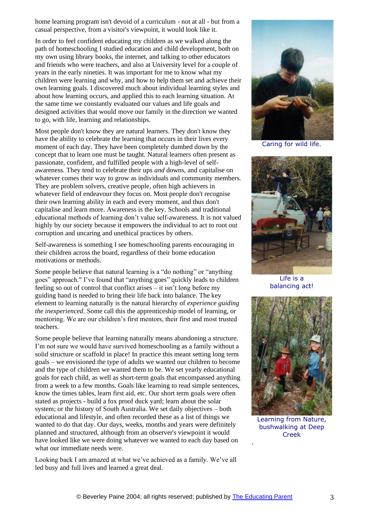home learning program isn't devoid of a curriculum - not at all - but from a casual perspective, from a visitor's viewpoint, it would look like it.

In order to feel confident educating my children as we walked along the path of homeschooling I studied education and child development, both on my own using library books, the internet, and talking to other educators and friends who were teachers, and also at University level for a couple of years in the early nineties. It was important for me to know what my children were learning and why, and how to help them set and achieve their own learning goals. I discovered much about individual learning styles and about how learning occurs, and applied this to each learning situation. At the same time we constantly evaluated our values and life goals and designed activities that would move our family in the direction we wanted to go, with life, learning and relationships.

Most people don't know they are natural learners. They don't know they have the ability to celebrate the learning that occurs in their lives every moment of each day. They have been completely dumbed down by the concept that to learn one must be taught. Natural learners often present as passionate, confident, and fulfilled people with a high-level of selfawareness. They tend to celebrate their ups *and* downs, and capitalise on whatever comes their way to grow as individuals and community members. They are problem solvers, creative people, often high achievers in whatever field of endeavour they focus on. Most people don't recognise their own learning ability in each and every moment, and thus don't capitalise and learn more. Awareness is the key. Schools and traditional educational methods of learning don't value self-awareness. It is not valued highly by our society because it empowers the individual to act to root out corruption and uncaring and unethical practices by others.

Self-awareness is something I see homeschooling parents encouraging in their children across the board, regardless of their home education motivations or methods.

Some people believe that natural learning is a "do nothing" or "anything goes" approach." I've found that "anything goes" quickly leads to children feeling so out of control that conflict arises – it isn't long before my guiding hand is needed to bring their life back into balance. The key element to learning naturally is the natural hierarchy of *experience guiding the inexperienced*. Some call this the apprenticeship model of learning, or mentoring. We are our children's first mentors, their first and most trusted teachers.

Some people believe that learning naturally means abandoning a structure. I'm not sure we would have survived homeschooling as a family without a solid structure or scaffold in place! In practice this meant setting long term goals – we envisioned the type of adults we wanted our children to become and the type of children we wanted them to be. We set yearly educational goals for each child, as well as short-term goals that encompassed anything from a week to a few months. Goals like learning to read simple sentences, know the times tables, learn first aid, etc. Our short term goals were often stated as projects - build a fox proof duck yard; learn about the solar system; or the history of South Australia. We set daily objectives – both educational and lifestyle, and often recorded these as a list of things we wanted to do that day. Our days, weeks, months and years were definitely planned and structured, although from an observer's viewpoint it would have looked like we were doing whatever we wanted to each day based on what our immediate needs were.

Looking back I am amazed at what we've achieved as a family. We've all led busy and full lives and learned a great deal.



Caring for wild life.



Life is a balancing act!



Learning from Nature, bushwalking at Deep Creek

.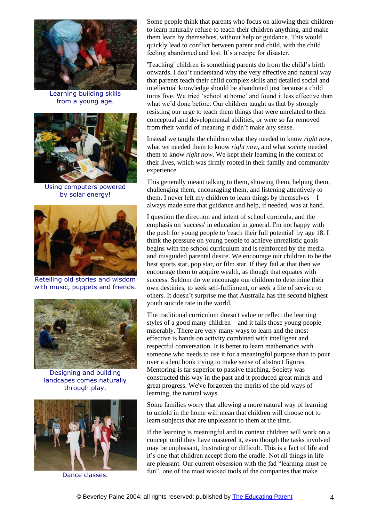

Learning building skills from a young age.



Using computers powered by solar energy!



Retelling old stories and wisdom with music, puppets and friends.



Designing and building landcapes comes naturally through play.



Dance classes.

Some people think that parents who focus on allowing their children to learn naturally refuse to teach their children anything, and make them learn by themselves, without help or guidance. This would quickly lead to conflict between parent and child, with the child feeling abandoned and lost. It's a recipe for disaster.

'Teaching' children is something parents do from the child's birth onwards. I don't understand why the very effective and natural way that parents teach their child complex skills and detailed social and intellectual knowledge should be abandoned just because a child turns five. We tried 'school at home' and found it less effective than what we'd done before. Our children taught us that by strongly resisting our urge to teach them things that were unrelated to their conceptual and developmental abilities, or were so far removed from their world of meaning it didn't make any sense.

Instead we taught the children what they needed to know *right now*, what *we* needed them to know *right now*, and what *society* needed them to know *right now*. We kept their learning in the context of their lives, which was firmly rooted in their family and community experience.

This generally meant talking to them, showing them, helping them, challenging them, encouraging them, and listening attentively to them. I never left my children to learn things by themselves  $-I$ always made sure that guidance and help, if needed, was at hand.

I question the direction and intent of school curricula, and the emphasis on 'success' in education in general. I'm not happy with the push for young people to 'reach their full potential' by age 18. I think the pressure on young people to achieve unrealistic goals begins with the school curriculum and is reinforced by the media and misguided parental desire. We encourage our children to be the best sports star, pop star, or film star. If they fail at that then we encourage them to acquire wealth, as though that equates with success. Seldom do we encourage our children to determine their own destinies, to seek self-fulfilment, or seek a life of service to others. It doesn't surprise me that Australia has the second highest youth suicide rate in the world.

The traditional curriculum doesn't value or reflect the learning styles of a good many children – and it fails those young people miserably. There are very many ways to learn and the most effective is hands on activity combined with intelligent and respectful conversation. It is better to learn mathematics with someone who needs to use it for a meaningful purpose than to pour over a silent book trying to make sense of abstract figures. Mentoring is far superior to passive teaching. Society was constructed this way in the past and it produced great minds and great progress. We've forgotten the merits of the old ways of learning, the natural ways.

Some families worry that allowing a more natural way of learning to unfold in the home will mean that children will choose not to learn subjects that are unpleasant to them at the time.

If the learning is meaningful and in context children will work on a concept until they have mastered it, even though the tasks involved may be unpleasant, frustrating or difficult. This is a fact of life and it's one that children accept from the cradle. Not all things in life are pleasant. Our current obsession with the fad "learning must be fun", one of the most wicked tools of the companies that make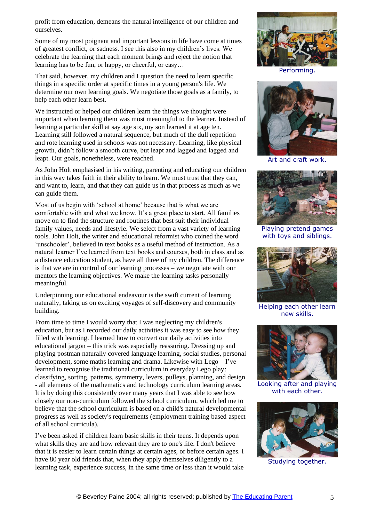profit from education, demeans the natural intelligence of our children and ourselves.

Some of my most poignant and important lessons in life have come at times of greatest conflict, or sadness. I see this also in my children's lives. We celebrate the learning that each moment brings and reject the notion that learning has to be fun, or happy, or cheerful, or easy…

That said, however, my children and I question the need to learn specific things in a specific order at specific times in a young person's life. We determine our own learning goals. We negotiate those goals as a family, to help each other learn best.

We instructed or helped our children learn the things we thought were important when learning them was most meaningful to the learner. Instead of learning a particular skill at say age six, my son learned it at age ten. Learning still followed a natural sequence, but much of the dull repetition and rote learning used in schools was not necessary. Learning, like physical growth, didn't follow a smooth curve, but leapt and lagged and lagged and leapt. Our goals, nonetheless, were reached.

As John Holt emphasised in his writing, parenting and educating our children in this way takes faith in their ability to learn. We must trust that they can, and want to, learn, and that they can guide us in that process as much as we can guide them.

Most of us begin with 'school at home' because that is what we are comfortable with and what we know. It's a great place to start. All families move on to find the structure and routines that best suit their individual family values, needs and lifestyle. We select from a vast variety of learning tools. John Holt, the writer and educational reformist who coined the word 'unschooler', believed in text books as a useful method of instruction. As a natural learner I've learned from text books and courses, both in class and as a distance education student, as have all three of my children. The difference is that we are in control of our learning processes – we negotiate with our mentors the learning objectives. We make the learning tasks personally meaningful.

Underpinning our educational endeavour is the swift current of learning naturally, taking us on exciting voyages of self-discovery and community building.

From time to time I would worry that I was neglecting my children's education, but as I recorded our daily activities it was easy to see how they filled with learning. I learned how to convert our daily activities into educational jargon – this trick was especially reassuring. Dressing up and playing postman naturally covered language learning, social studies, personal development, some maths learning and drama. Likewise with Lego – I've learned to recognise the traditional curriculum in everyday Lego play: classifying, sorting, patterns, symmetry, levers, pulleys, planning, and design - all elements of the mathematics and technology curriculum learning areas. It is by doing this consistently over many years that I was able to see how closely our non-curriculum followed the school curriculum, which led me to believe that the school curriculum is based on a child's natural developmental progress as well as society's requirements (employment training based aspect of all school curricula).

I've been asked if children learn basic skills in their teens. It depends upon what skills they are and how relevant they are to one's life. I don't believe that it is easier to learn certain things at certain ages, or before certain ages. I have 80 year old friends that, when they apply themselves diligently to a learning task, experience success, in the same time or less than it would take



Performing.



Art and craft work.



Playing pretend games with toys and siblings.



Helping each other learn new skills.



Looking after and playing with each other.



Studying together.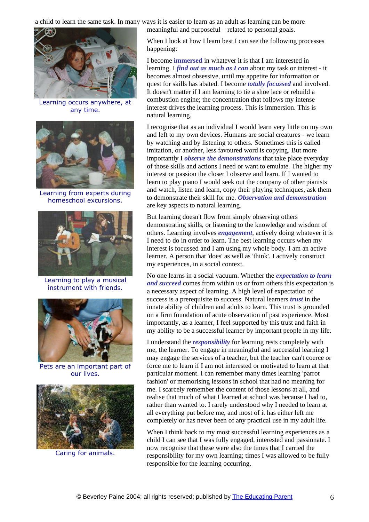a child to learn the same task. In many ways it is easier to learn as an adult as learning can be more meaningful and purposeful – related to personal goals.



Learning occurs anywhere, at any time.



Learning from experts during homeschool excursions.



Learning to play a musical instrument with friends.



Pets are an important part of our lives.



Caring for animals.

When I look at how I learn best I can see the following processes happening:

I become **immersed** in whatever it is that I am interested in learning. I *find out as much as I can* about my task or interest - it becomes almost obsessive, until my appetite for information or quest for skills has abated. I become *totally focussed* and involved. It doesn't matter if I am learning to tie a shoe lace or rebuild a combustion engine; the concentration that follows my intense interest drives the learning process. This is immersion. This is natural learning.

I recognise that as an individual I would learn very little on my own and left to my own devices. Humans are social creatures - we learn by watching and by listening to others. Sometimes this is called imitation, or another, less favoured word is copying. But more importantly I *observe the demonstrations* that take place everyday of those skills and actions I need or want to emulate. The higher my interest or passion the closer I observe and learn. If I wanted to learn to play piano I would seek out the company of other pianists and watch, listen and learn, copy their playing techniques, ask them to demonstrate their skill for me. *Observation and demonstration* are key aspects to natural learning.

But learning doesn't flow from simply observing others demonstrating skills, or listening to the knowledge and wisdom of others. Learning involves *engagement*, actively doing whatever it is I need to do in order to learn. The best learning occurs when my interest is focussed and I am using my whole body. I am an active learner. A person that 'does' as well as 'think'. I actively construct my experiences, in a social context.

No one learns in a social vacuum. Whether the *expectation to learn and succeed* comes from within us or from others this expectation is a necessary aspect of learning. A high level of expectation of success is a prerequisite to success. Natural learners *trust* in the innate ability of children and adults to learn. This trust is grounded on a firm foundation of acute observation of past experience. Most importantly, as a learner, I feel supported by this trust and faith in my ability to be a successful learner by important people in my life.

I understand the *responsibility* for learning rests completely with me, the learner. To engage in meaningful and successful learning I may engage the services of a teacher, but the teacher can't coerce or force me to learn if I am not interested or motivated to learn at that particular moment. I can remember many times learning 'parrot fashion' or memorising lessons in school that had no meaning for me. I scarcely remember the content of those lessons at all, and realise that much of what I learned at school was because I had to, rather than wanted to. I rarely understood why I needed to learn at all everything put before me, and most of it has either left me completely or has never been of any practical use in my adult life.

When I think back to my most successful learning experiences as a child I can see that I was fully engaged, interested and passionate. I now recognise that these were also the times that I carried the responsibility for my own learning; times I was allowed to be fully responsible for the learning occurring.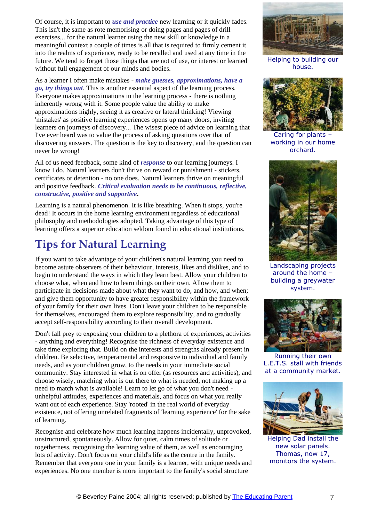Of course, it is important to *use and practice* new learning or it quickly fades. This isn't the same as rote memorising or doing pages and pages of drill exercises... for the natural learner using the new skill or knowledge in a meaningful context a couple of times is all that is required to firmly cement it into the realms of experience, ready to be recalled and used at any time in the future. We tend to forget those things that are not of use, or interest or learned without full engagement of our minds and bodies.

As a learner I often make mistakes - *make guesses, approximations, have a go, try things out*. This is another essential aspect of the learning process. Everyone makes approximations in the learning process - there is nothing inherently wrong with it. Some people value the ability to make approximations highly, seeing it as creative or lateral thinking! Viewing 'mistakes' as positive learning experiences opens up many doors, inviting learners on journeys of discovery... The wisest piece of advice on learning that I've ever heard was to value the process of asking questions over that of discovering answers. The question is the key to discovery, and the question can never be wrong!

All of us need feedback, some kind of *response* to our learning journeys. I know I do. Natural learners don't thrive on reward or punishment - stickers, certificates or detention - no one does. Natural learners thrive on meaningful and positive feedback. *Critical evaluation needs to be continuous, reflective, constructive, positive and supportive***.**

Learning is a natural phenomenon. It is like breathing. When it stops, you're dead! It occurs in the home learning environment regardless of educational philosophy and methodologies adopted. Taking advantage of this type of learning offers a superior education seldom found in educational institutions.

## **Tips for Natural Learning**

If you want to take advantage of your children's natural learning you need to become astute observers of their behaviour, interests, likes and dislikes, and to begin to understand the ways in which they learn best. Allow your children to choose what, when and how to learn things on their own. Allow them to participate in decisions made about what they want to do, and how, and when; and give them opportunity to have greater responsibility within the framework of your family for their own lives. Don't leave your children to be responsible for themselves, encouraged them to explore responsibility, and to gradually accept self-responsibility according to their overall development.

Don't fall prey to exposing your children to a plethora of experiences, activities - anything and everything! Recognise the richness of everyday existence and take time exploring that. Build on the interests and strengths already present in children. Be selective, temperamental and responsive to individual and family needs, and as your children grow, to the needs in your immediate social community. Stay interested in what is on offer (as resources and activities), and choose wisely, matching what is out there to what is needed, not making up a need to match what is available! Learn to let go of what you don't need unhelpful attitudes, experiences and materials, and focus on what you really want out of each experience. Stay 'rooted' in the real world of everyday existence, not offering unrelated fragments of 'learning experience' for the sake of learning.

Recognise and celebrate how much learning happens incidentally, unprovoked, unstructured, spontaneously. Allow for quiet, calm times of solitude or togetherness, recognising the learning value of them, as well as encouraging lots of activity. Don't focus on your child's life as the centre in the family. Remember that everyone one in your family is a learner, with unique needs and experiences. No one member is more important to the family's social structure



Helping to building our house.



Caring for plants – working in our home orchard.



Landscaping projects around the home – building a greywater system.



Running their own L.E.T.S. stall with friends at a community market.



Helping Dad install the new solar panels. Thomas, now 17, monitors the system.